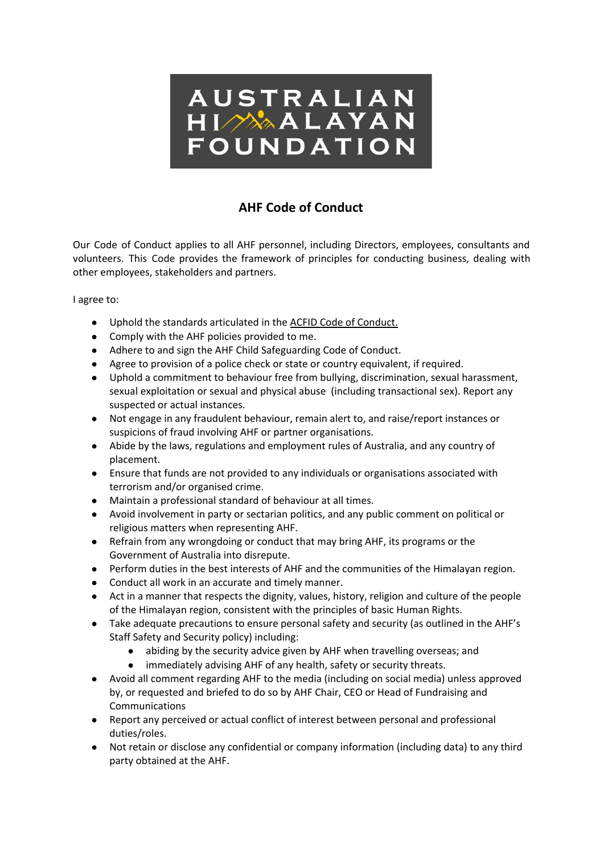

## **AHF Code of Conduct**

Our Code of Conduct applies to all AHF personnel, including Directors, employees, consultants and volunteers. This Code provides the framework of principles for conducting business, dealing with other employees, stakeholders and partners.

I agree to:

- Uphold the standards articulated in the ACFID Code of [Conduct.](http://www.acfid.asn.au/code-of-conduct)
- Comply with the AHF policies provided to me.
- Adhere to and sign the AHF Child Safeguarding Code of Conduct.
- Agree to provision of a police check or state or country equivalent, if required.
- Uphold a commitment to behaviour free from bullying, discrimination, sexual harassment, sexual exploitation or sexual and physical abuse (including transactional sex). Report any suspected or actual instances.
- Not engage in any fraudulent behaviour, remain alert to, and raise/report instances or suspicions of fraud involving AHF or partner organisations.
- Abide by the laws, regulations and employment rules of Australia, and any country of placement.
- Ensure that funds are not provided to any individuals or organisations associated with terrorism and/or organised crime.
- Maintain a professional standard of behaviour at all times.
- Avoid involvement in party or sectarian politics, and any public comment on political or religious matters when representing AHF.
- Refrain from any wrongdoing or conduct that may bring AHF, its programs or the Government of Australia into disrepute.
- Perform duties in the best interests of AHF and the communities of the Himalayan region.
- Conduct all work in an accurate and timely manner.
- Act in a manner that respects the dignity, values, history, religion and culture of the people of the Himalayan region, consistent with the principles of basic Human Rights.
- Take adequate precautions to ensure personal safety and security (as outlined in the AHF's Staff Safety and Security policy) including:
	- abiding by the security advice given by AHF when travelling overseas; and
	- immediately advising AHF of any health, safety or security threats.
- Avoid all comment regarding AHF to the media (including on social media) unless approved by, or requested and briefed to do so by AHF Chair, CEO or Head of Fundraising and Communications
- Report any perceived or actual conflict of interest between personal and professional duties/roles.
- Not retain or disclose any confidential or company information (including data) to any third party obtained at the AHF.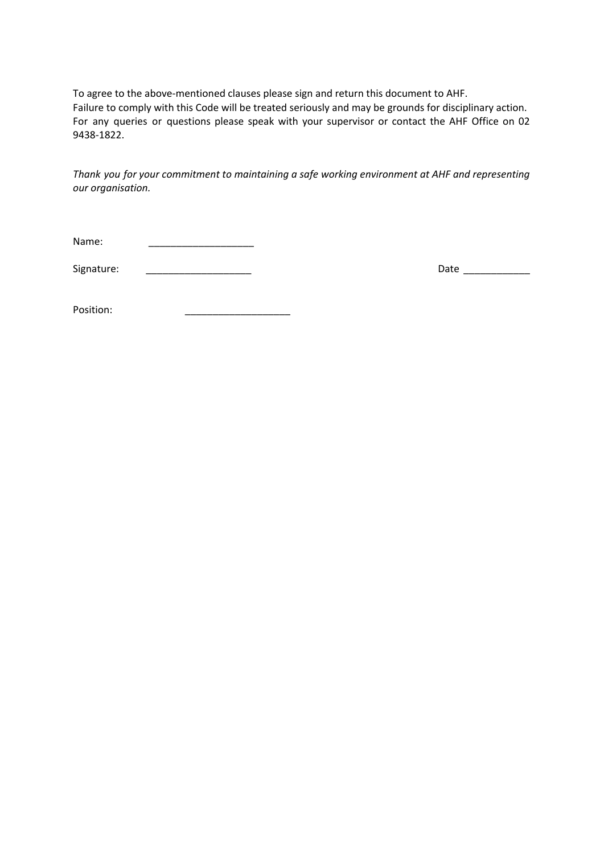To agree to the above-mentioned clauses please sign and return this document to AHF. Failure to comply with this Code will be treated seriously and may be grounds for disciplinary action. For any queries or questions please speak with your supervisor or contact the AHF Office on 02 9438-1822.

*Thank you for your commitment to maintaining a safe working environment at AHF and representing our organisation.*

Signature: \_\_\_\_\_\_\_\_\_\_\_\_\_\_\_\_\_\_\_ Date \_\_\_\_\_\_\_\_\_\_\_\_

Position: